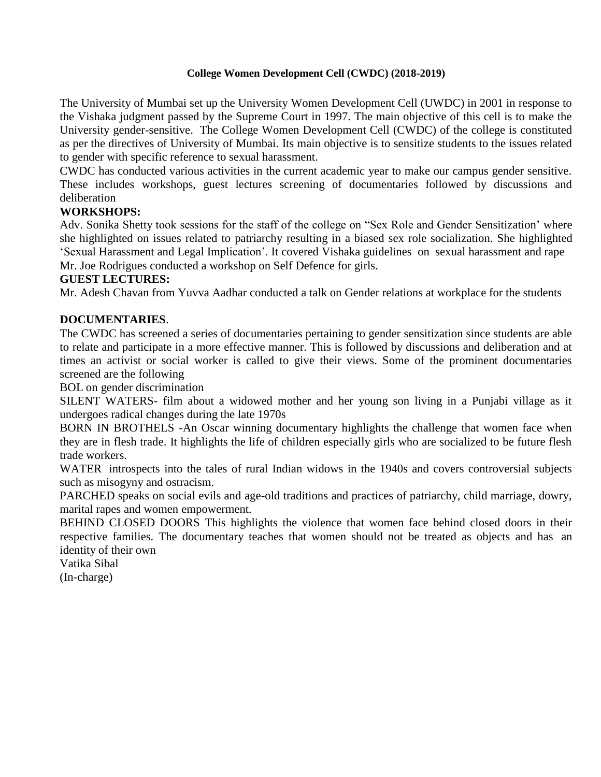## **College Women Development Cell (CWDC) (2018-2019)**

The University of Mumbai set up the University Women Development Cell (UWDC) in 2001 in response to the Vishaka judgment passed by the Supreme Court in 1997. The main objective of this cell is to make the University gender-sensitive. The College Women Development Cell (CWDC) of the college is constituted as per the directives of University of Mumbai. Its main objective is to sensitize students to the issues related to gender with specific reference to sexual harassment.

CWDC has conducted various activities in the current academic year to make our campus gender sensitive. These includes workshops, guest lectures screening of documentaries followed by discussions and deliberation

## **WORKSHOPS:**

Adv. Sonika Shetty took sessions for the staff of the college on "Sex Role and Gender Sensitization' where she highlighted on issues related to patriarchy resulting in a biased sex role socialization. She highlighted 'Sexual Harassment and Legal Implication'. It covered Vishaka guidelines on sexual harassment and rape Mr. Joe Rodrigues conducted a workshop on Self Defence for girls.

## **GUEST LECTURES:**

Mr. Adesh Chavan from Yuvva Aadhar conducted a talk on Gender relations at workplace for the students

## **DOCUMENTARIES**.

The CWDC has screened a series of documentaries pertaining to gender sensitization since students are able to relate and participate in a more effective manner. This is followed by discussions and deliberation and at times an activist or social worker is called to give their views. Some of the prominent documentaries screened are the following

BOL on gender discrimination

SILENT WATERS- film about a widowed mother and her young son living in a Punjabi village as it undergoes radical changes during the late 1970s

BORN IN BROTHELS -An Oscar winning documentary highlights the challenge that women face when they are in flesh trade. It highlights the life of children especially girls who are socialized to be future flesh trade workers.

WATER introspects into the tales of rural Indian widows in the 1940s and covers controversial subjects such as misogyny and ostracism.

PARCHED speaks on social evils and age-old traditions and practices of patriarchy, child marriage, dowry, marital rapes and women empowerment.

BEHIND CLOSED DOORS This highlights the violence that women face behind closed doors in their respective families. The documentary teaches that women should not be treated as objects and has an identity of their own

Vatika Sibal

(In-charge)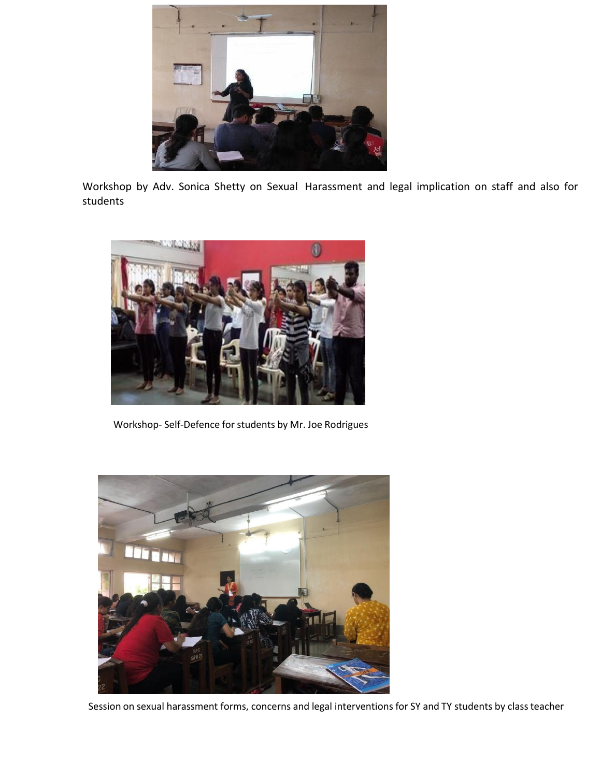

Workshop by Adv. Sonica Shetty on Sexual Harassment and legal implication on staff and also for students



Workshop- Self-Defence for students by Mr. Joe Rodrigues



Session on sexual harassment forms, concerns and legal interventions for SY and TY students by classteacher